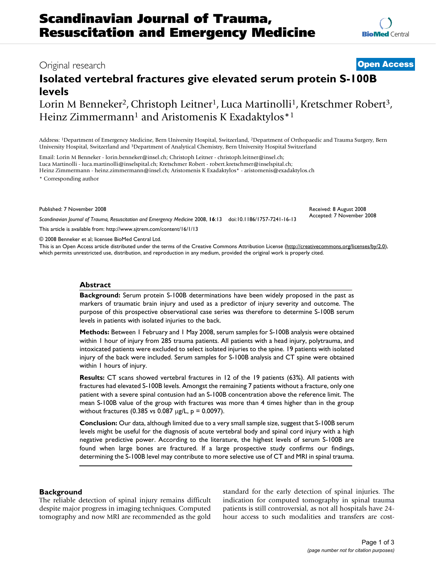## Original research **[Open Access](http://www.biomedcentral.com/info/about/charter/)**

# **Isolated vertebral fractures give elevated serum protein S-100B levels**

Lorin M Benneker<sup>2</sup>, Christoph Leitner<sup>1</sup>, Luca Martinolli<sup>1</sup>, Kretschmer Robert<sup>3</sup>, Heinz Zimmermann<sup>1</sup> and Aristomenis K Exadaktylos<sup>\*1</sup>

Address: 1Department of Emergency Medicine, Bern University Hospital, Switzerland, 2Department of Orthopaedic and Trauma Surgery, Bern University Hospital, Switzerland and 3Department of Analytical Chemistry, Bern University Hospital Switzerland

Email: Lorin M Benneker - lorin.benneker@insel.ch; Christoph Leitner - christoph.leitner@insel.ch; Luca Martinolli - luca.martinolli@inselspital.ch; Kretschmer Robert - robert.kretschmer@inselspital.ch; Heinz Zimmermann - heinz.zimmermann@insel.ch; Aristomenis K Exadaktylos\* - aristomenis@exadaktylos.ch \* Corresponding author

Published: 7 November 2008

*Scandinavian Journal of Trauma, Resuscitation and Emergency Medicine* 2008, **16**:13 doi:10.1186/1757-7241-16-13

[This article is available from: http://www.sjtrem.com/content/16/1/13](http://www.sjtrem.com/content/16/1/13)

© 2008 Benneker et al; licensee BioMed Central Ltd.

This is an Open Access article distributed under the terms of the Creative Commons Attribution License [\(http://creativecommons.org/licenses/by/2.0\)](http://creativecommons.org/licenses/by/2.0), which permits unrestricted use, distribution, and reproduction in any medium, provided the original work is properly cited.

#### **Abstract**

**Background:** Serum protein S-100B determinations have been widely proposed in the past as markers of traumatic brain injury and used as a predictor of injury severity and outcome. The purpose of this prospective observational case series was therefore to determine S-100B serum levels in patients with isolated injuries to the back.

**Methods:** Between 1 February and 1 May 2008, serum samples for S-100B analysis were obtained within 1 hour of injury from 285 trauma patients. All patients with a head injury, polytrauma, and intoxicated patients were excluded to select isolated injuries to the spine. 19 patients with isolated injury of the back were included. Serum samples for S-100B analysis and CT spine were obtained within 1 hours of injury.

**Results:** CT scans showed vertebral fractures in 12 of the 19 patients (63%). All patients with fractures had elevated S-100B levels. Amongst the remaining 7 patients without a fracture, only one patient with a severe spinal contusion had an S-100B concentration above the reference limit. The mean S-100B value of the group with fractures was more than 4 times higher than in the group without fractures (0.385 vs 0.087 μg/L,  $p = 0.0097$ ).

**Conclusion:** Our data, although limited due to a very small sample size, suggest that S-100B serum levels might be useful for the diagnosis of acute vertebral body and spinal cord injury with a high negative predictive power. According to the literature, the highest levels of serum S-100B are found when large bones are fractured. If a large prospective study confirms our findings, determining the S-100B level may contribute to more selective use of CT and MRI in spinal trauma.

### **Background**

The reliable detection of spinal injury remains difficult despite major progress in imaging techniques. Computed tomography and now MRI are recommended as the gold standard for the early detection of spinal injuries. The indication for computed tomography in spinal trauma patients is still controversial, as not all hospitals have 24 hour access to such modalities and transfers are cost-

Received: 8 August 2008 Accepted: 7 November 2008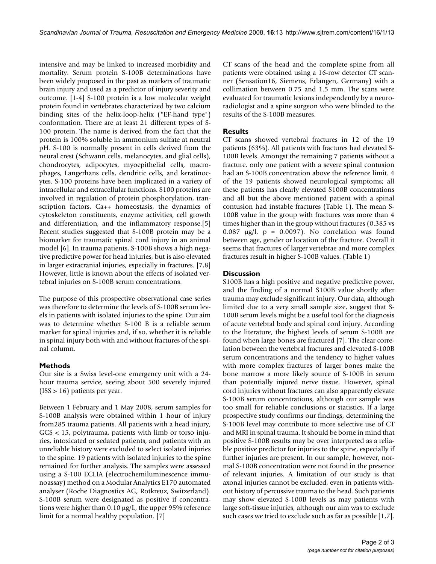intensive and may be linked to increased morbidity and mortality. Serum protein S-100B determinations have been widely proposed in the past as markers of traumatic brain injury and used as a predictor of injury severity and outcome. [1-4] S-100 protein is a low molecular weight protein found in vertebrates characterized by two calcium binding sites of the helix-loop-helix ("EF-hand type") conformation. There are at least 21 different types of S-100 protein. The name is derived from the fact that the protein is 100% soluble in ammonium sulfate at neutral pH. S-100 is normally present in cells derived from the neural crest (Schwann cells, melanocytes, and glial cells), chondrocytes, adipocytes, myoepithelial cells, macrophages, Langerhans cells, dendritic cells, and keratinocytes. S-100 proteins have been implicated in a variety of intracellular and extracellular functions. S100 proteins are involved in regulation of protein phosphorylation, transcription factors, Ca++ homeostasis, the dynamics of cytoskeleton constituents, enzyme activities, cell growth and differentiation, and the inflammatory response.[5] Recent studies suggested that S-100B protein may be a biomarker for traumatic spinal cord injury in an animal model [6]. In trauma patients, S-100B shows a high negative predictive power for head injuries, but is also elevated in larger extracranial injuries, especially in fractures. [7,8] However, little is known about the effects of isolated vertebral injuries on S-100B serum concentrations.

The purpose of this prospective observational case series was therefore to determine the levels of S-100B serum levels in patients with isolated injuries to the spine. Our aim was to determine whether S-100 B is a reliable serum marker for spinal injuries and, if so, whether it is reliable in spinal injury both with and without fractures of the spinal column.

#### **Methods**

Our site is a Swiss level-one emergency unit with a 24 hour trauma service, seeing about 500 severely injured (ISS > 16) patients per year.

Between 1 February and 1 May 2008, serum samples for S-100B analysis were obtained within 1 hour of injury from285 trauma patients. All patients with a head injury, GCS < 15, polytrauma, patients with limb or torso injuries, intoxicated or sedated patients, and patients with an unreliable history were excluded to select isolated injuries to the spine. 19 patients with isolated injuries to the spine remained for further analysis. The samples were assessed using a S-100 ECLIA (electrochemiluminescence immunoassay) method on a Modular Analytics E170 automated analyser (Roche Diagnostics AG, Rotkreuz, Switzerland). S-100B serum were designated as positive if concentrations were higher than 0.10 μg/L, the upper 95% reference limit for a normal healthy population. [7]

CT scans of the head and the complete spine from all patients were obtained using a 16-row detector CT scanner (Sensation16, Siemens, Erlangen, Germany) with a collimation between 0.75 and 1.5 mm. The scans were evaluated for traumatic lesions independently by a neuroradiologist and a spine surgeon who were blinded to the results of the S-100B measures.

#### **Results**

CT scans showed vertebral fractures in 12 of the 19 patients (63%). All patients with fractures had elevated S-100B levels. Amongst the remaining 7 patients without a fracture, only one patient with a severe spinal contusion had an S-100B concentration above the reference limit. 4 of the 19 patients showed neurological symptoms; all these patients has clearly elevated S100B concentrations and all but the above mentioned patient with a spinal contusion had instable fractures (Table 1). The mean S-100B value in the group with fractures was more than 4 times higher than in the group without fractures (0.385 vs 0.087 μg/l, p = 0.0097). No correlation was found between age, gender or location of the fracture. Overall it seems that fractures of larger vertebrae and more complex fractures result in higher S-100B values. (Table 1)

#### **Discussion**

S100B has a high positive and negative predictive power, and the finding of a normal S100B value shortly after trauma may exclude significant injury. Our data, although limited due to a very small sample size, suggest that S-100B serum levels might be a useful tool for the diagnosis of acute vertebral body and spinal cord injury. According to the literature, the highest levels of serum S-100B are found when large bones are fractured [7]. The clear correlation between the vertebral fractures and elevated S-100B serum concentrations and the tendency to higher values with more complex fractures of larger bones make the bone marrow a more likely source of S-100B in serum than potentially injured nerve tissue. However, spinal cord injuries without fractures can also apparently elevate S-100B serum concentrations, although our sample was too small for reliable conclusions or statistics. If a large prospective study confirms our findings, determining the S-100B level may contribute to more selective use of CT and MRI in spinal trauma. It should be borne in mind that positive S-100B results may be over interpreted as a reliable positive predictor for injuries to the spine, especially if further injuries are present. In our sample, however, normal S-100B concentration were not found in the presence of relevant injuries. A limitation of our study is that axonal injuries cannot be excluded, even in patients without history of percussive trauma to the head. Such patients may show elevated S-100B levels as may patients with large soft-tissue injuries, although our aim was to exclude such cases we tried to exclude such as far as possible [1,7].